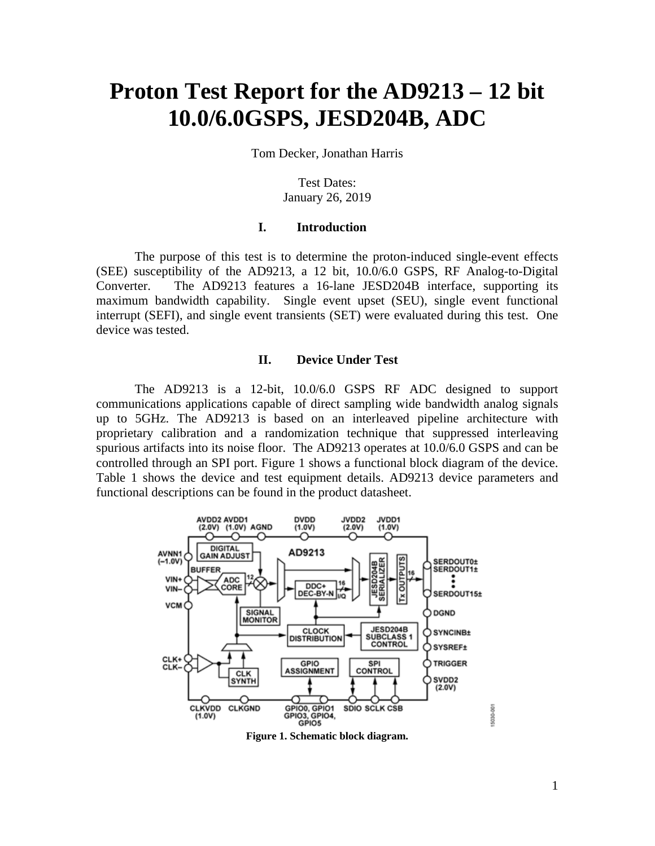# **Proton Test Report for the AD9213 – 12 bit 10.0/6.0GSPS, JESD204B, ADC**

Tom Decker, Jonathan Harris

Test Dates: January 26, 2019

#### **I. Introduction**

The purpose of this test is to determine the proton-induced single-event effects (SEE) susceptibility of the AD9213, a 12 bit, 10.0/6.0 GSPS, RF Analog-to-Digital Converter. The AD9213 features a 16-lane JESD204B interface, supporting its maximum bandwidth capability. Single event upset (SEU), single event functional interrupt (SEFI), and single event transients (SET) were evaluated during this test. One device was tested.

### **II. Device Under Test**

 The AD9213 is a 12-bit, 10.0/6.0 GSPS RF ADC designed to support communications applications capable of direct sampling wide bandwidth analog signals up to 5GHz. The AD9213 is based on an interleaved pipeline architecture with proprietary calibration and a randomization technique that suppressed interleaving spurious artifacts into its noise floor. The AD9213 operates at 10.0/6.0 GSPS and can be controlled through an SPI port. Figure 1 shows a functional block diagram of the device. Table 1 shows the device and test equipment details. AD9213 device parameters and functional descriptions can be found in the product datasheet.



**Figure 1. Schematic block diagram.** 

15030-001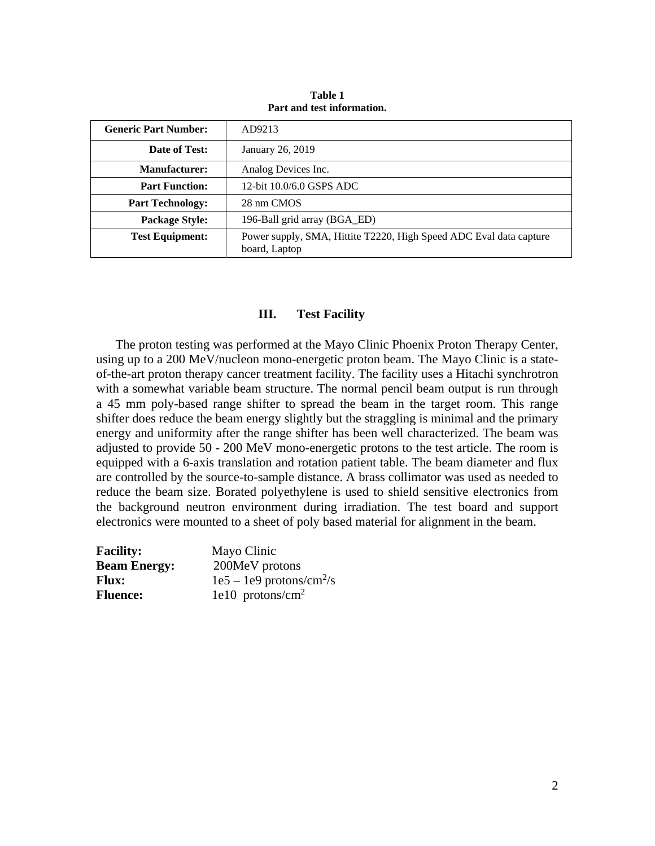| <b>Generic Part Number:</b> | AD9213                                                                              |
|-----------------------------|-------------------------------------------------------------------------------------|
| Date of Test:               | January 26, 2019                                                                    |
| <b>Manufacturer:</b>        | Analog Devices Inc.                                                                 |
| <b>Part Function:</b>       | 12-bit 10.0/6.0 GSPS ADC                                                            |
| <b>Part Technology:</b>     | 28 nm CMOS                                                                          |
| <b>Package Style:</b>       | 196-Ball grid array (BGA_ED)                                                        |
| <b>Test Equipment:</b>      | Power supply, SMA, Hittite T2220, High Speed ADC Eval data capture<br>board, Laptop |

**Table 1 Part and test information.** 

### **III. Test Facility**

The proton testing was performed at the Mayo Clinic Phoenix Proton Therapy Center, using up to a 200 MeV/nucleon mono-energetic proton beam. The Mayo Clinic is a stateof-the-art proton therapy cancer treatment facility. The facility uses a Hitachi synchrotron with a somewhat variable beam structure. The normal pencil beam output is run through a 45 mm poly-based range shifter to spread the beam in the target room. This range shifter does reduce the beam energy slightly but the straggling is minimal and the primary energy and uniformity after the range shifter has been well characterized. The beam was adjusted to provide 50 - 200 MeV mono-energetic protons to the test article. The room is equipped with a 6-axis translation and rotation patient table. The beam diameter and flux are controlled by the source-to-sample distance. A brass collimator was used as needed to reduce the beam size. Borated polyethylene is used to shield sensitive electronics from the background neutron environment during irradiation. The test board and support electronics were mounted to a sheet of poly based material for alignment in the beam.

| <b>Facility:</b>    | Mayo Clinic                            |
|---------------------|----------------------------------------|
| <b>Beam Energy:</b> | 200MeV protons                         |
| <b>Flux:</b>        | $1e5 - 1e9$ protons/cm <sup>2</sup> /s |
| <b>Fluence:</b>     | $1e10$ protons/cm <sup>2</sup>         |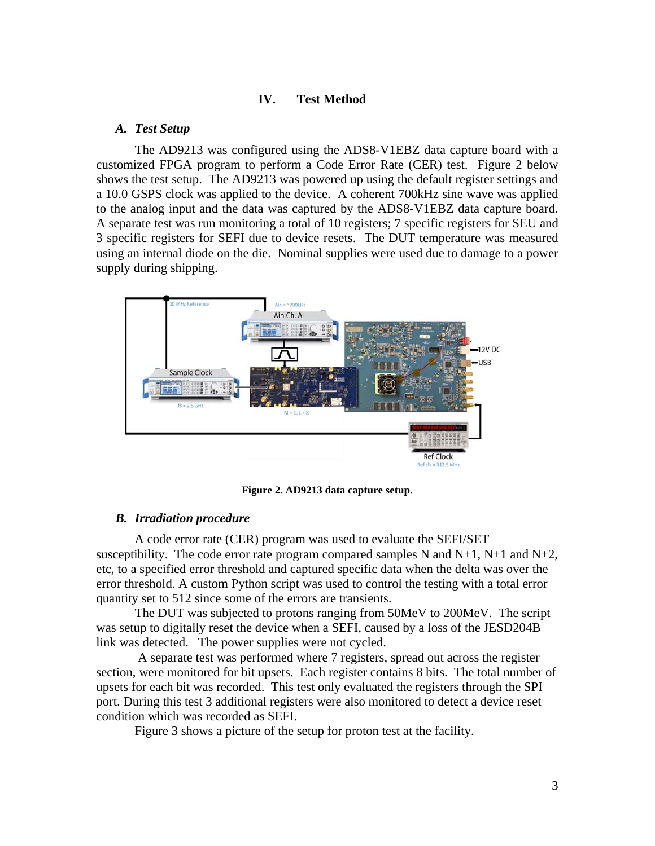### **IV. Test Method**

### *A. Test Setup*

The AD9213 was configured using the ADS8-V1EBZ data capture board with a customized FPGA program to perform a Code Error Rate (CER) test. Figure 2 below shows the test setup. The AD9213 was powered up using the default register settings and a 10.0 GSPS clock was applied to the device. A coherent 700kHz sine wave was applied to the analog input and the data was captured by the ADS8-V1EBZ data capture board. A separate test was run monitoring a total of 10 registers; 7 specific registers for SEU and 3 specific registers for SEFI due to device resets. The DUT temperature was measured using an internal diode on the die. Nominal supplies were used due to damage to a power supply during shipping.



**Figure 2. AD9213 data capture setup**.

### *B. Irradiation procedure*

A code error rate (CER) program was used to evaluate the SEFI/SET susceptibility. The code error rate program compared samples N and  $N+1$ ,  $N+1$  and  $N+2$ , etc, to a specified error threshold and captured specific data when the delta was over the error threshold. A custom Python script was used to control the testing with a total error quantity set to 512 since some of the errors are transients.

The DUT was subjected to protons ranging from 50MeV to 200MeV. The script was setup to digitally reset the device when a SEFI, caused by a loss of the JESD204B link was detected. The power supplies were not cycled.

 A separate test was performed where 7 registers, spread out across the register section, were monitored for bit upsets. Each register contains 8 bits. The total number of upsets for each bit was recorded. This test only evaluated the registers through the SPI port. During this test 3 additional registers were also monitored to detect a device reset condition which was recorded as SEFI.

Figure 3 shows a picture of the setup for proton test at the facility.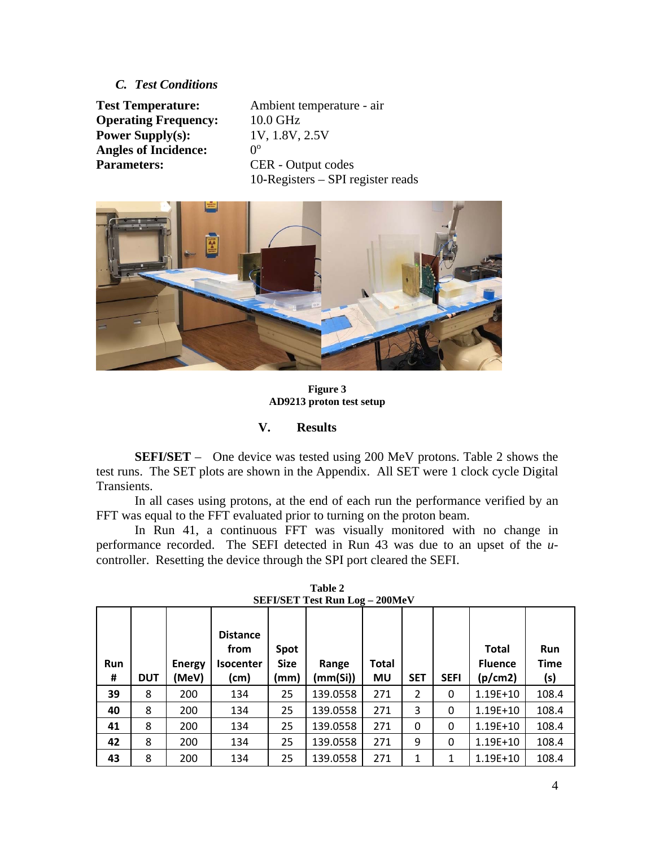### *C. Test Conditions*

**Operating Frequency:** 10.0 GHz **Power Supply(s):** 1V, 1.8V, 2.5V **Angles of Incidence: Parameters:** CER - Output codes

**Test Temperature:** Ambient temperature - air  $0^{\rm o}$ 10**-**Registers – SPI register reads



**Figure 3 AD9213 proton test setup** 

### **V. Results**

**SEFI/SET** – One device was tested using 200 MeV protons. Table 2 shows the test runs. The SET plots are shown in the Appendix. All SET were 1 clock cycle Digital Transients.

In all cases using protons, at the end of each run the performance verified by an FFT was equal to the FFT evaluated prior to turning on the proton beam.

In Run 41, a continuous FFT was visually monitored with no change in performance recorded. The SEFI detected in Run 43 was due to an upset of the *u*controller. Resetting the device through the SPI port cleared the SEFI.

| <b>Run</b><br># | <b>DUT</b> | <b>Energy</b><br>(MeV) | <b>Distance</b><br>from<br><b>Isocenter</b><br>(cm) | Spot<br><b>Size</b><br>(mm) | Range<br>(mm(Si)) | Total<br>MU | <b>SET</b> | <b>SEFI</b> | <b>Total</b><br><b>Fluence</b><br>(p/cm2) | <b>Run</b><br><b>Time</b><br>(s) |
|-----------------|------------|------------------------|-----------------------------------------------------|-----------------------------|-------------------|-------------|------------|-------------|-------------------------------------------|----------------------------------|
| 39              | 8          | 200                    | 134                                                 | 25                          | 139.0558          | 271         | 2          | 0           | $1.19E + 10$                              | 108.4                            |
| 40              | 8          | 200                    | 134                                                 | 25                          | 139.0558          | 271         | 3          | 0           | $1.19E + 10$                              | 108.4                            |
| 41              | 8          | 200                    | 134                                                 | 25                          | 139.0558          | 271         | 0          | 0           | 1.19E+10                                  | 108.4                            |
| 42              | 8          | 200                    | 134                                                 | 25                          | 139.0558          | 271         | 9          | $\Omega$    | $1.19E + 10$                              | 108.4                            |
| 43              | 8          | 200                    | 134                                                 | 25                          | 139.0558          | 271         | 1          | 1           | 1.19E+10                                  | 108.4                            |

**Table 2 SEFI/SET Test Run Log – 200MeV**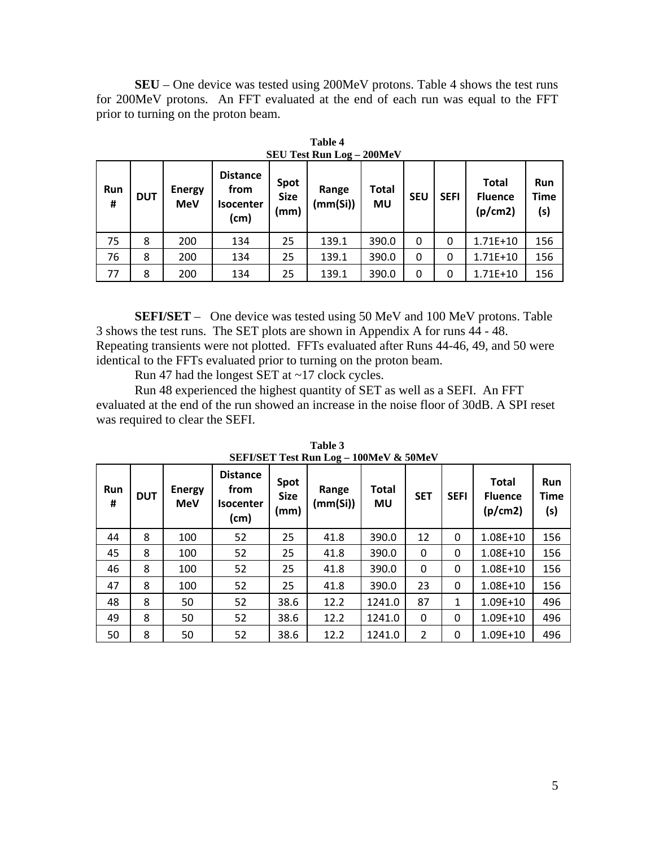**SEU** – One device was tested using 200MeV protons. Table 4 shows the test runs for 200MeV protons. An FFT evaluated at the end of each run was equal to the FFT prior to turning on the proton beam.

| Run<br># | <b>DUT</b> | <b>Energy</b><br><b>MeV</b> | <b>Distance</b><br>from<br><b>Isocenter</b><br>(cm) | Spot<br><b>Size</b><br>(mm) | Range<br>(mm(Si)) | Total<br><b>MU</b> | <b>SEU</b> | <b>SEFI</b> | <b>Total</b><br><b>Fluence</b><br>(p/cm2) | Run<br><b>Time</b><br>(s) |
|----------|------------|-----------------------------|-----------------------------------------------------|-----------------------------|-------------------|--------------------|------------|-------------|-------------------------------------------|---------------------------|
| 75       | 8          | 200                         | 134                                                 | 25                          | 139.1             | 390.0              | $\Omega$   | 0           | $1.71E+10$                                | 156                       |
| 76       | 8          | 200                         | 134                                                 | 25                          | 139.1             | 390.0              | 0          | 0           | $1.71E+10$                                | 156                       |
| 77       | 8          | 200                         | 134                                                 | 25                          | 139.1             | 390.0              | 0          | 0           | $1.71E+10$                                | 156                       |

**Table 4 SEU Test Run Log – 200MeV** 

 **SEFI/SET** – One device was tested using 50 MeV and 100 MeV protons. Table 3 shows the test runs. The SET plots are shown in Appendix A for runs 44 - 48. Repeating transients were not plotted. FFTs evaluated after Runs 44-46, 49, and 50 were identical to the FFTs evaluated prior to turning on the proton beam.

Run 47 had the longest SET at ~17 clock cycles.

 Run 48 experienced the highest quantity of SET as well as a SEFI. An FFT evaluated at the end of the run showed an increase in the noise floor of 30dB. A SPI reset was required to clear the SEFI.

| <b>Run</b><br># | <b>DUT</b> | <b>Energy</b><br><b>MeV</b> | <b>Distance</b><br>from<br><b>Isocenter</b><br>(cm) | Spot<br><b>Size</b><br>(mm) | Range<br>(mm(Si)) | Total<br>MU | <b>SET</b>     | <b>SEFI</b> | <b>Total</b><br><b>Fluence</b><br>(p/cm2) | <b>Run</b><br><b>Time</b><br>(s) |
|-----------------|------------|-----------------------------|-----------------------------------------------------|-----------------------------|-------------------|-------------|----------------|-------------|-------------------------------------------|----------------------------------|
| 44              | 8          | 100                         | 52                                                  | 25                          | 41.8              | 390.0       | 12             | 0           | $1.08E + 10$                              | 156                              |
| 45              | 8          | 100                         | 52                                                  | 25                          | 41.8              | 390.0       | $\Omega$       | $\Omega$    | $1.08E + 10$                              | 156                              |
| 46              | 8          | 100                         | 52                                                  | 25                          | 41.8              | 390.0       | 0              | 0           | $1.08E + 10$                              | 156                              |
| 47              | 8          | 100                         | 52                                                  | 25                          | 41.8              | 390.0       | 23             | 0           | 1.08E+10                                  | 156                              |
| 48              | 8          | 50                          | 52                                                  | 38.6                        | 12.2              | 1241.0      | 87             | 1           | 1.09E+10                                  | 496                              |
| 49              | 8          | 50                          | 52                                                  | 38.6                        | 12.2              | 1241.0      | 0              | 0           | $1.09E + 10$                              | 496                              |
| 50              | 8          | 50                          | 52                                                  | 38.6                        | 12.2              | 1241.0      | $\overline{2}$ | $\Omega$    | $1.09E + 10$                              | 496                              |

**Table 3 SEFI/SET Test Run Log – 100MeV & 50MeV**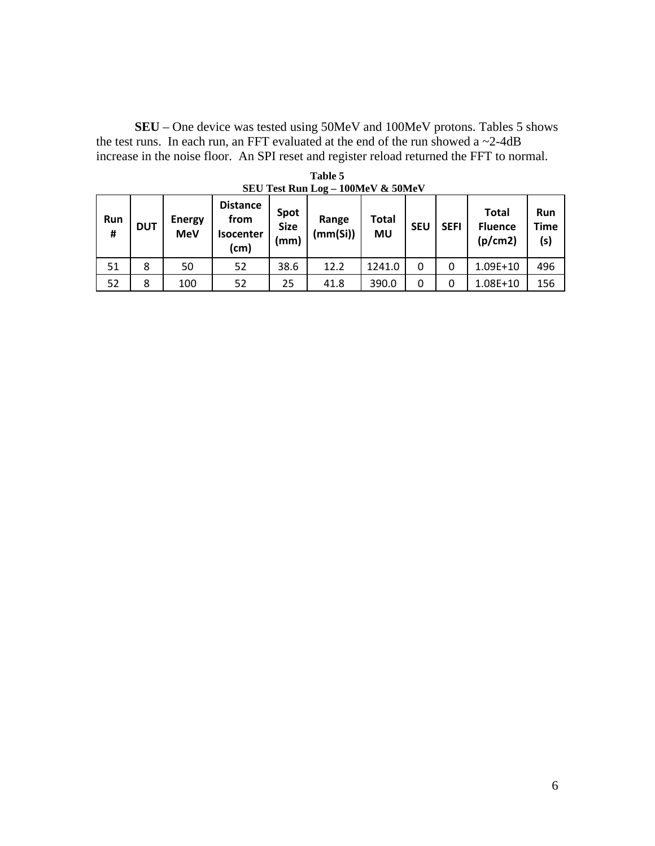**SEU** – One device was tested using 50MeV and 100MeV protons. Tables 5 shows the test runs. In each run, an FFT evaluated at the end of the run showed a  $\sim$ 2-4dB increase in the noise floor. An SPI reset and register reload returned the FFT to normal.

| Run<br># | <b>DUT</b> | <b>Energy</b><br><b>MeV</b> | <b>Distance</b><br>from<br><b>Isocenter</b><br>(cm) | Spot<br><b>Size</b><br>(mm) | Range<br>(mm(Si)) | Total<br><b>MU</b> | <b>SEU</b> | <b>SEFI</b> | <b>Total</b><br><b>Fluence</b><br>(p/cm2) | Run<br><b>Time</b><br>(s) |
|----------|------------|-----------------------------|-----------------------------------------------------|-----------------------------|-------------------|--------------------|------------|-------------|-------------------------------------------|---------------------------|
| 51       | 8          | 50                          | 52                                                  | 38.6                        | 12.2              | 1241.0             | 0          |             | 1.09E+10                                  | 496                       |
| 52       | 8          | 100                         | 52                                                  | 25                          | 41.8              | 390.0              | 0          |             | 1.08E+10                                  | 156                       |

**Table 5 SEU Test Run Log – 100MeV & 50MeV**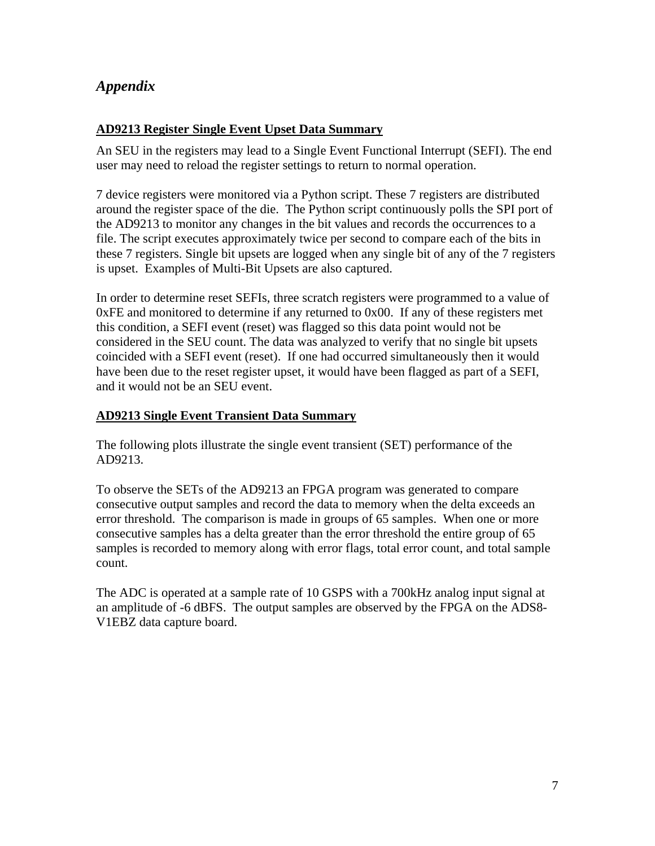# *Appendix*

## **AD9213 Register Single Event Upset Data Summary**

An SEU in the registers may lead to a Single Event Functional Interrupt (SEFI). The end user may need to reload the register settings to return to normal operation.

7 device registers were monitored via a Python script. These 7 registers are distributed around the register space of the die. The Python script continuously polls the SPI port of the AD9213 to monitor any changes in the bit values and records the occurrences to a file. The script executes approximately twice per second to compare each of the bits in these 7 registers. Single bit upsets are logged when any single bit of any of the 7 registers is upset. Examples of Multi-Bit Upsets are also captured.

In order to determine reset SEFIs, three scratch registers were programmed to a value of 0xFE and monitored to determine if any returned to 0x00. If any of these registers met this condition, a SEFI event (reset) was flagged so this data point would not be considered in the SEU count. The data was analyzed to verify that no single bit upsets coincided with a SEFI event (reset). If one had occurred simultaneously then it would have been due to the reset register upset, it would have been flagged as part of a SEFI, and it would not be an SEU event.

### **AD9213 Single Event Transient Data Summary**

The following plots illustrate the single event transient (SET) performance of the AD9213.

To observe the SETs of the AD9213 an FPGA program was generated to compare consecutive output samples and record the data to memory when the delta exceeds an error threshold. The comparison is made in groups of 65 samples. When one or more consecutive samples has a delta greater than the error threshold the entire group of 65 samples is recorded to memory along with error flags, total error count, and total sample count.

The ADC is operated at a sample rate of 10 GSPS with a 700kHz analog input signal at an amplitude of -6 dBFS. The output samples are observed by the FPGA on the ADS8- V1EBZ data capture board.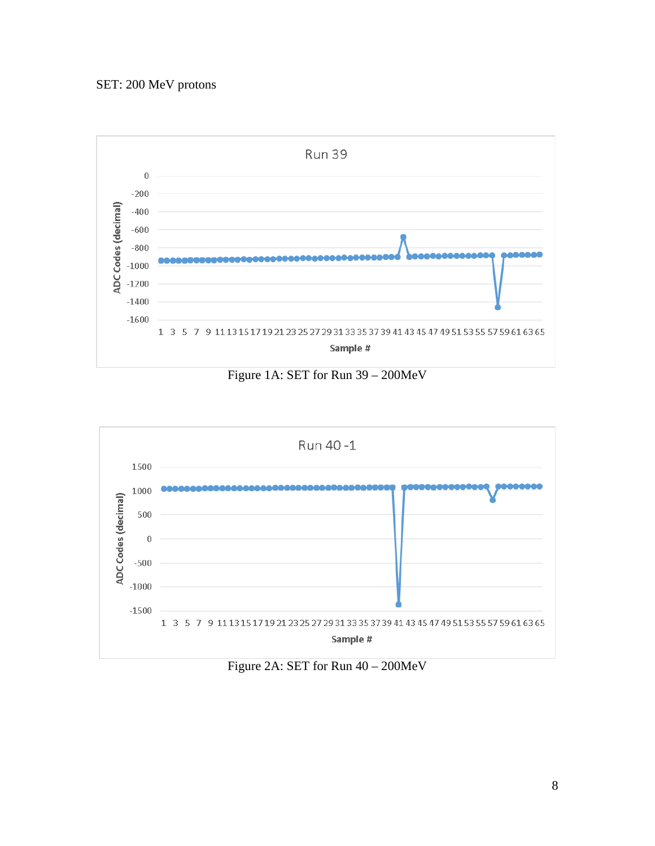# SET: 200 MeV protons



Figure 1A: SET for Run 39 – 200MeV



Figure 2A: SET for Run 40 – 200MeV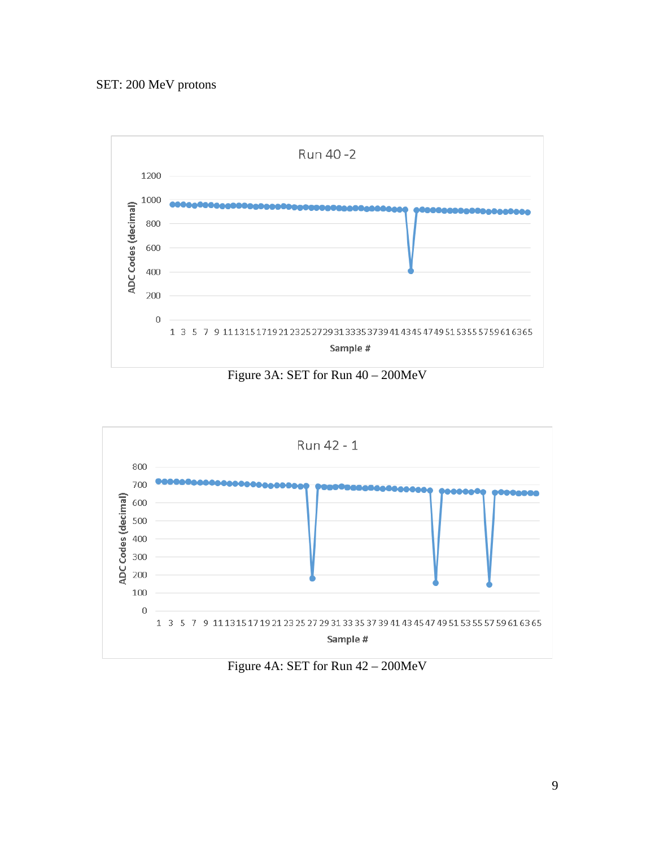

Figure 3A: SET for Run 40 – 200MeV



Figure 4A: SET for Run 42 – 200MeV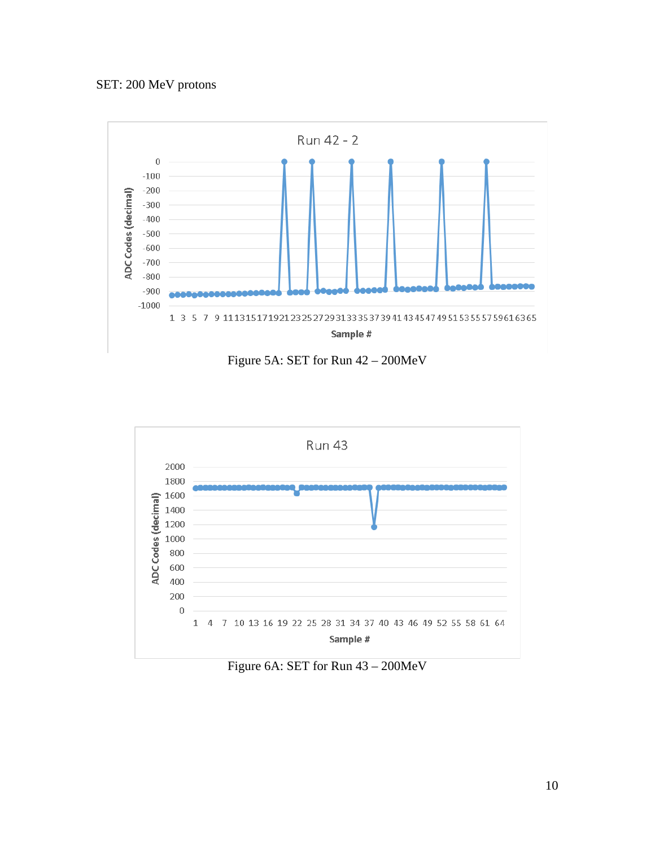# SET: 200 MeV protons



Figure 5A: SET for Run 42 – 200MeV



Figure 6A: SET for Run 43 – 200MeV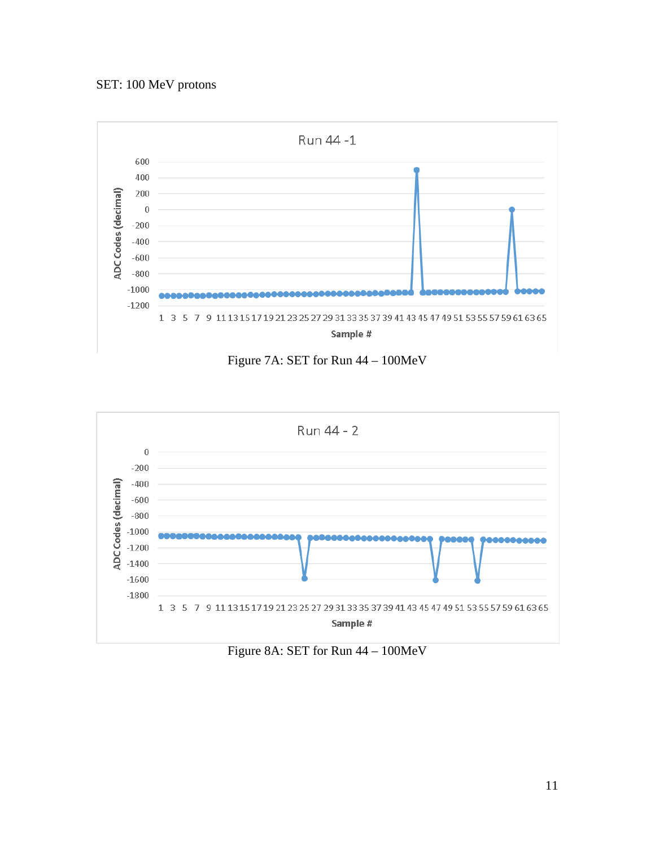# SET: 100 MeV protons



Figure 7A: SET for Run 44 – 100MeV



Figure 8A: SET for Run 44 – 100MeV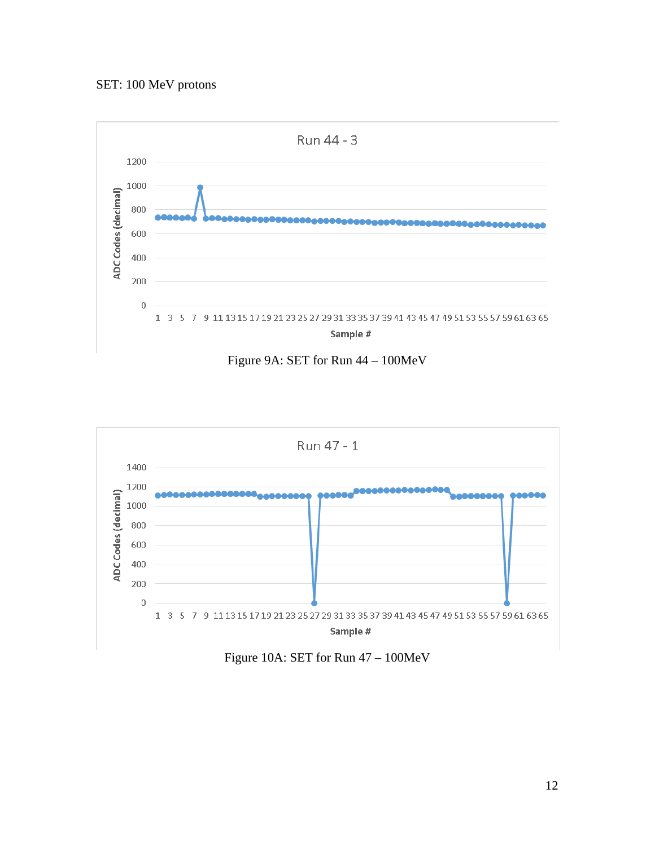# SET: 100 MeV protons



Figure 9A: SET for Run 44 – 100MeV



Figure 10A: SET for Run 47 – 100MeV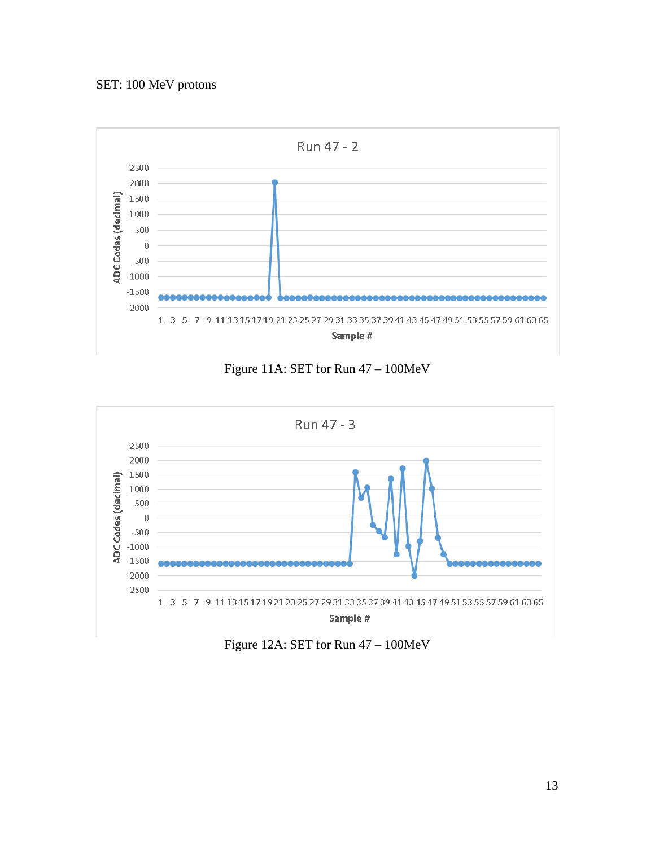# SET: 100 MeV protons



Figure 11A: SET for Run 47 – 100MeV



Figure 12A: SET for Run 47 – 100MeV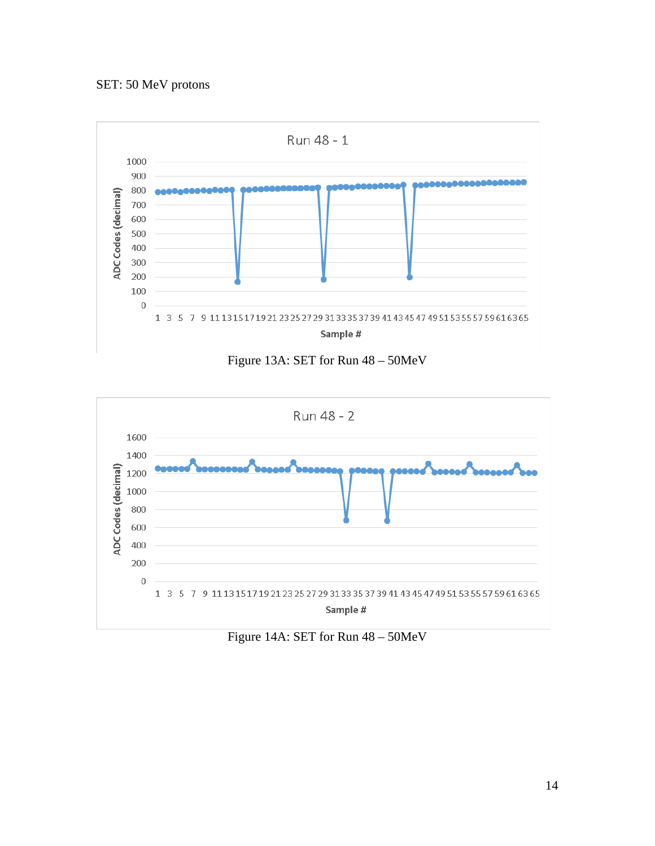

Figure 13A: SET for Run 48 – 50MeV



Figure 14A: SET for Run 48 – 50MeV